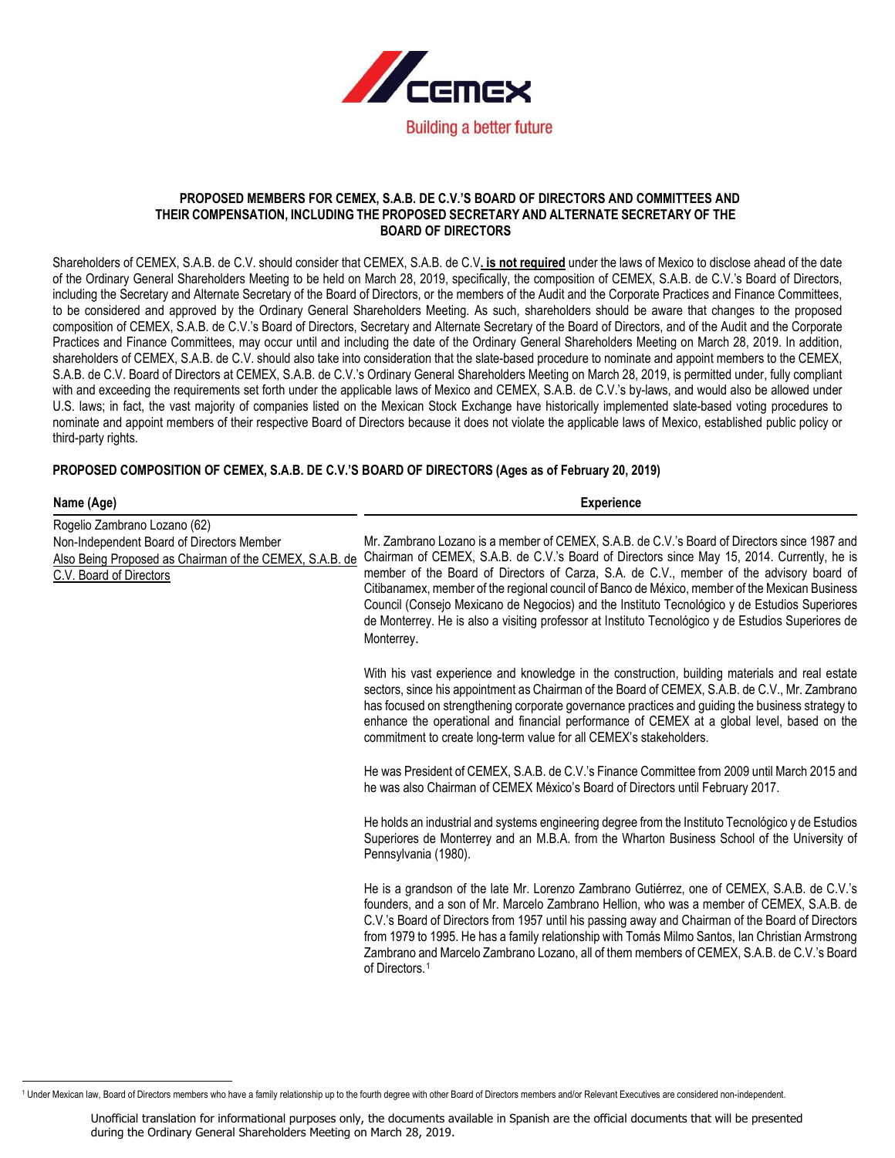

#### **PROPOSED MEMBERS FOR CEMEX, S.A.B. DE C.V.'S BOARD OF DIRECTORS AND COMMITTEES AND THEIR COMPENSATION, INCLUDING THE PROPOSED SECRETARY AND ALTERNATE SECRETARY OF THE BOARD OF DIRECTORS**

Shareholders of CEMEX, S.A.B. de C.V. should consider that CEMEX, S.A.B. de C.V**. is not required** under the laws of Mexico to disclose ahead of the date of the Ordinary General Shareholders Meeting to be held on March 28, 2019, specifically, the composition of CEMEX, S.A.B. de C.V.'s Board of Directors, including the Secretary and Alternate Secretary of the Board of Directors, or the members of the Audit and the Corporate Practices and Finance Committees, to be considered and approved by the Ordinary General Shareholders Meeting. As such, shareholders should be aware that changes to the proposed composition of CEMEX, S.A.B. de C.V.'s Board of Directors, Secretary and Alternate Secretary of the Board of Directors, and of the Audit and the Corporate Practices and Finance Committees, may occur until and including the date of the Ordinary General Shareholders Meeting on March 28, 2019. In addition, shareholders of CEMEX, S.A.B. de C.V. should also take into consideration that the slate-based procedure to nominate and appoint members to the CEMEX, S.A.B. de C.V. Board of Directors at CEMEX, S.A.B. de C.V.'s Ordinary General Shareholders Meeting on March 28, 2019, is permitted under, fully compliant with and exceeding the requirements set forth under the applicable laws of Mexico and CEMEX, S.A.B. de C.V.'s by-laws, and would also be allowed under U.S. laws; in fact, the vast majority of companies listed on the Mexican Stock Exchange have historically implemented slate-based voting procedures to nominate and appoint members of their respective Board of Directors because it does not violate the applicable laws of Mexico, established public policy or third-party rights.

# **PROPOSED COMPOSITION OF CEMEX, S.A.B. DE C.V.'S BOARD OF DIRECTORS (Ages as of February 20, 2019)**

| Name (Age)                                                                                                                                                      | <b>Experience</b>                                                                                                                                                                                                                                                                                                                                                                                                                                                                                                                                                                                              |
|-----------------------------------------------------------------------------------------------------------------------------------------------------------------|----------------------------------------------------------------------------------------------------------------------------------------------------------------------------------------------------------------------------------------------------------------------------------------------------------------------------------------------------------------------------------------------------------------------------------------------------------------------------------------------------------------------------------------------------------------------------------------------------------------|
| Rogelio Zambrano Lozano (62)<br>Non-Independent Board of Directors Member<br>Also Being Proposed as Chairman of the CEMEX, S.A.B. de<br>C.V. Board of Directors | Mr. Zambrano Lozano is a member of CEMEX, S.A.B. de C.V.'s Board of Directors since 1987 and<br>Chairman of CEMEX, S.A.B. de C.V.'s Board of Directors since May 15, 2014. Currently, he is<br>member of the Board of Directors of Carza, S.A. de C.V., member of the advisory board of<br>Citibanamex, member of the regional council of Banco de México, member of the Mexican Business<br>Council (Consejo Mexicano de Negocios) and the Instituto Tecnológico y de Estudios Superiores<br>de Monterrey. He is also a visiting professor at Instituto Tecnológico y de Estudios Superiores de<br>Monterrey. |
|                                                                                                                                                                 | With his vast experience and knowledge in the construction, building materials and real estate<br>sectors, since his appointment as Chairman of the Board of CEMEX, S.A.B. de C.V., Mr. Zambrano<br>has focused on strengthening corporate governance practices and guiding the business strategy to<br>enhance the operational and financial performance of CEMEX at a global level, based on the<br>commitment to create long-term value for all CEMEX's stakeholders.                                                                                                                                       |
|                                                                                                                                                                 | He was President of CEMEX, S.A.B. de C.V.'s Finance Committee from 2009 until March 2015 and<br>he was also Chairman of CEMEX México's Board of Directors until February 2017.                                                                                                                                                                                                                                                                                                                                                                                                                                 |
|                                                                                                                                                                 | He holds an industrial and systems engineering degree from the Instituto Tecnológico y de Estudios<br>Superiores de Monterrey and an M.B.A. from the Wharton Business School of the University of<br>Pennsylvania (1980).                                                                                                                                                                                                                                                                                                                                                                                      |
|                                                                                                                                                                 | He is a grandson of the late Mr. Lorenzo Zambrano Gutiérrez, one of CEMEX, S.A.B. de C.V.'s<br>founders, and a son of Mr. Marcelo Zambrano Hellion, who was a member of CEMEX, S.A.B. de<br>C.V.'s Board of Directors from 1957 until his passing away and Chairman of the Board of Directors<br>from 1979 to 1995. He has a family relationship with Tomás Milmo Santos, Ian Christian Armstrong<br>Zambrano and Marcelo Zambrano Lozano, all of them members of CEMEX, S.A.B. de C.V.'s Board<br>of Directors. <sup>1</sup>                                                                                  |

<span id="page-0-0"></span><sup>&</sup>lt;sup>1</sup> Under Mexican law, Board of Directors members who have a family relationship up to the fourth degree with other Board of Directors members and/or Relevant Executives are considered non-independent.

Unofficial translation for informational purposes only, the documents available in Spanish are the official documents that will be presented during the Ordinary General Shareholders Meeting on March 28, 2019.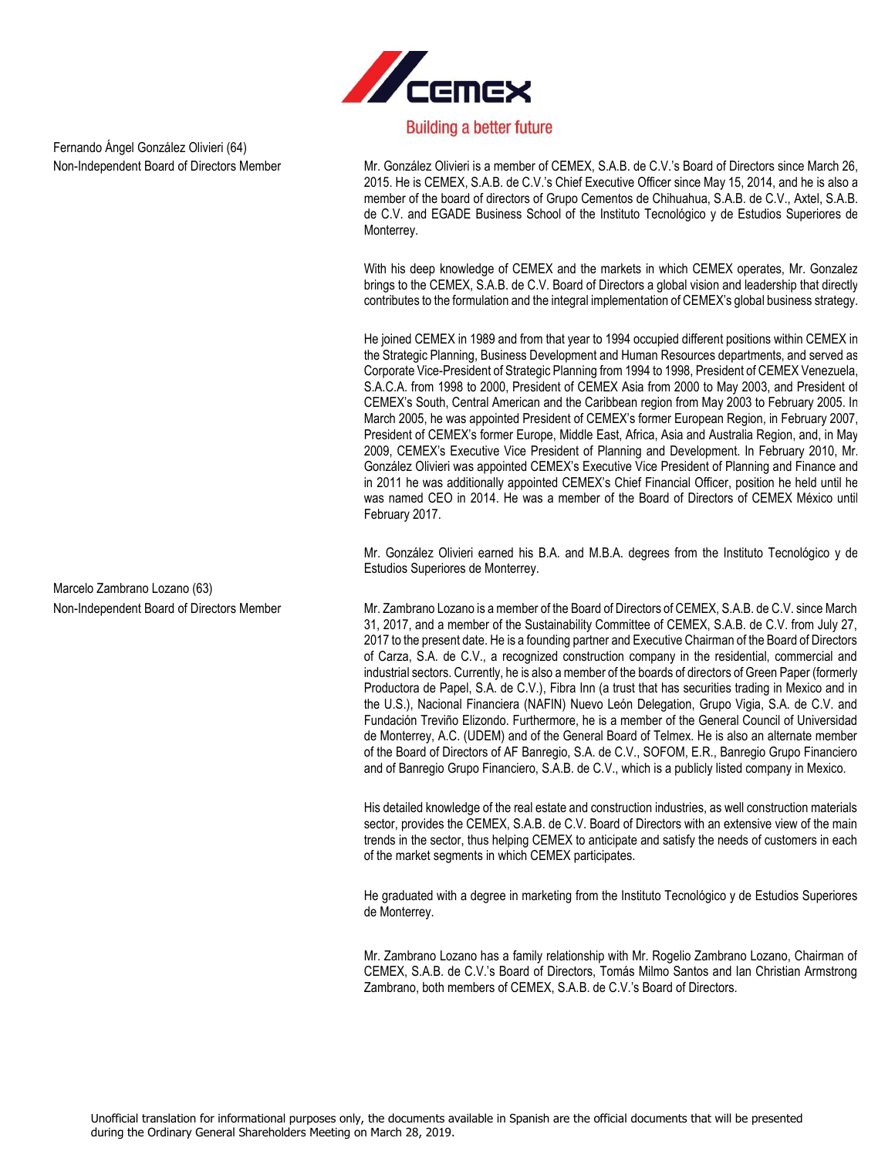

Fernando Ángel González Olivieri (64)

Non-Independent Board of Directors Member Mr. González Olivieri is a member of CEMEX, S.A.B. de C.V.'s Board of Directors since March 26, 2015. He is CEMEX, S.A.B. de C.V.'s Chief Executive Officer since May 15, 2014, and he is also a member of the board of directors of Grupo Cementos de Chihuahua, S.A.B. de C.V., Axtel, S.A.B. de C.V. and EGADE Business School of the Instituto Tecnológico y de Estudios Superiores de Monterrey.

> With his deep knowledge of CEMEX and the markets in which CEMEX operates, Mr. Gonzalez brings to the CEMEX, S.A.B. de C.V. Board of Directors a global vision and leadership that directly contributes to the formulation and the integral implementation of CEMEX's global business strategy.

> He joined CEMEX in 1989 and from that year to 1994 occupied different positions within CEMEX in the Strategic Planning, Business Development and Human Resources departments, and served as Corporate Vice-President of Strategic Planning from 1994 to 1998, President of CEMEX Venezuela, S.A.C.A. from 1998 to 2000, President of CEMEX Asia from 2000 to May 2003, and President of CEMEX's South, Central American and the Caribbean region from May 2003 to February 2005. In March 2005, he was appointed President of CEMEX's former European Region, in February 2007, President of CEMEX's former Europe, Middle East, Africa, Asia and Australia Region, and, in May 2009, CEMEX's Executive Vice President of Planning and Development. In February 2010, Mr. González Olivieri was appointed CEMEX's Executive Vice President of Planning and Finance and in 2011 he was additionally appointed CEMEX's Chief Financial Officer, position he held until he was named CEO in 2014. He was a member of the Board of Directors of CEMEX México until February 2017.

> Mr. González Olivieri earned his B.A. and M.B.A. degrees from the Instituto Tecnológico y de Estudios Superiores de Monterrey.

Non-Independent Board of Directors Member Mr. Zambrano Lozano is a member of the Board of Directors of CEMEX, S.A.B. de C.V. since March 31, 2017, and a member of the Sustainability Committee of CEMEX, S.A.B. de C.V. from July 27, 2017 to the present date. He is a founding partner and Executive Chairman of the Board of Directors of Carza, S.A. de C.V., a recognized construction company in the residential, commercial and industrial sectors. Currently, he is also a member of the boards of directors of Green Paper (formerly Productora de Papel, S.A. de C.V.), Fibra Inn (a trust that has securities trading in Mexico and in the U.S.), Nacional Financiera (NAFIN) Nuevo León Delegation, Grupo Vigia, S.A. de C.V. and Fundación Treviño Elizondo. Furthermore, he is a member of the General Council of Universidad de Monterrey, A.C. (UDEM) and of the General Board of Telmex. He is also an alternate member of the Board of Directors of AF Banregio, S.A. de C.V., SOFOM, E.R., Banregio Grupo Financiero and of Banregio Grupo Financiero, S.A.B. de C.V., which is a publicly listed company in Mexico.

> His detailed knowledge of the real estate and construction industries, as well construction materials sector, provides the CEMEX, S.A.B. de C.V. Board of Directors with an extensive view of the main trends in the sector, thus helping CEMEX to anticipate and satisfy the needs of customers in each of the market segments in which CEMEX participates.

> He graduated with a degree in marketing from the Instituto Tecnológico y de Estudios Superiores de Monterrey.

> Mr. Zambrano Lozano has a family relationship with Mr. Rogelio Zambrano Lozano, Chairman of CEMEX, S.A.B. de C.V.'s Board of Directors, Tomás Milmo Santos and Ian Christian Armstrong Zambrano, both members of CEMEX, S.A.B. de C.V.'s Board of Directors.

Marcelo Zambrano Lozano (63)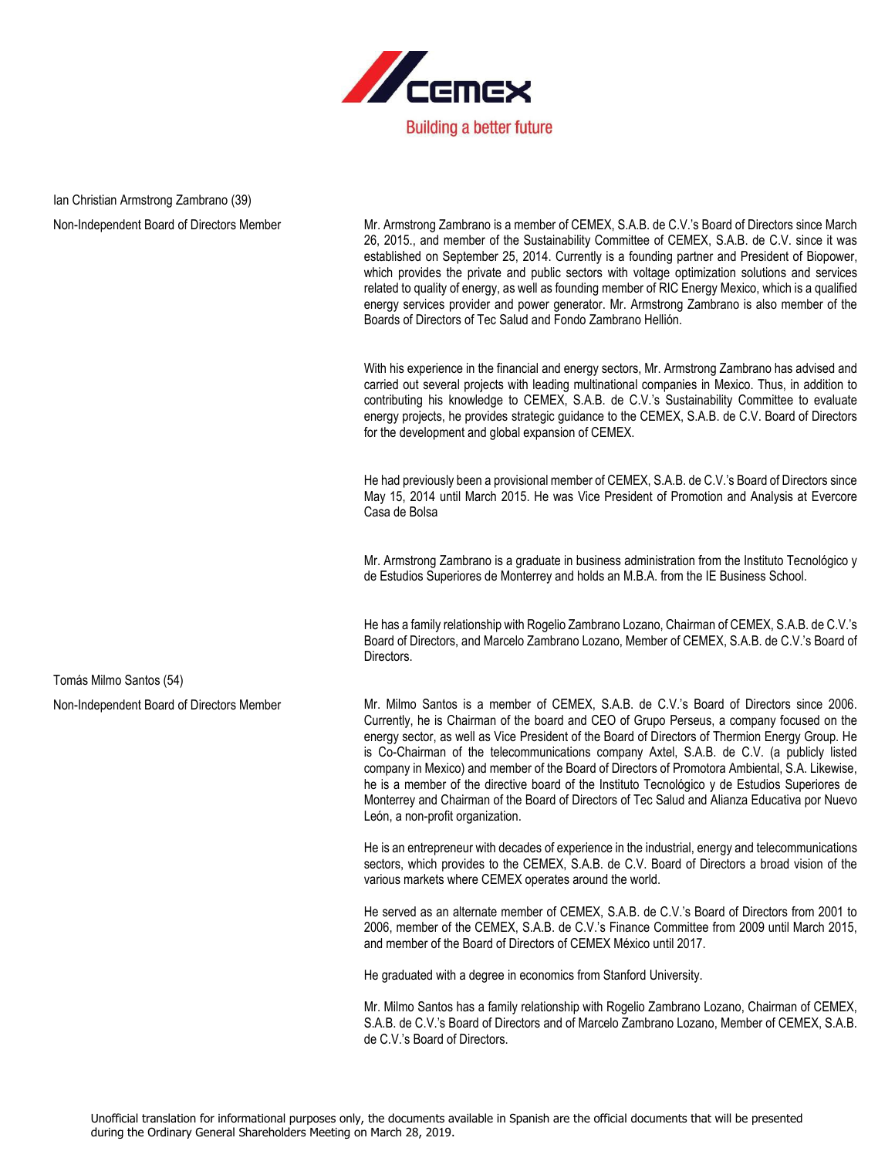

# Ian Christian Armstrong Zambrano (39)

Non-Independent Board of Directors Member Mr. Armstrong Zambrano is a member of CEMEX, S.A.B. de C.V.'s Board of Directors since March 26, 2015., and member of the Sustainability Committee of CEMEX, S.A.B. de C.V. since it was established on September 25, 2014. Currently is a founding partner and President of Biopower, which provides the private and public sectors with voltage optimization solutions and services related to quality of energy, as well as founding member of RIC Energy Mexico, which is a qualified energy services provider and power generator. Mr. Armstrong Zambrano is also member of the Boards of Directors of Tec Salud and Fondo Zambrano Hellión.

> With his experience in the financial and energy sectors, Mr. Armstrong Zambrano has advised and carried out several projects with leading multinational companies in Mexico. Thus, in addition to contributing his knowledge to CEMEX, S.A.B. de C.V.'s Sustainability Committee to evaluate energy projects, he provides strategic guidance to the CEMEX, S.A.B. de C.V. Board of Directors for the development and global expansion of CEMEX.

> He had previously been a provisional member of CEMEX, S.A.B. de C.V.'s Board of Directors since May 15, 2014 until March 2015. He was Vice President of Promotion and Analysis at Evercore Casa de Bolsa

> Mr. Armstrong Zambrano is a graduate in business administration from the Instituto Tecnológico y de Estudios Superiores de Monterrey and holds an M.B.A. from the IE Business School.

> He has a family relationship with Rogelio Zambrano Lozano, Chairman of CEMEX, S.A.B. de C.V.'s Board of Directors, and Marcelo Zambrano Lozano, Member of CEMEX, S.A.B. de C.V.'s Board of Directors.

Non-Independent Board of Directors Member Mr. Milmo Santos is a member of CEMEX, S.A.B. de C.V.'s Board of Directors since 2006. Currently, he is Chairman of the board and CEO of Grupo Perseus, a company focused on the energy sector, as well as Vice President of the Board of Directors of Thermion Energy Group. He is Co-Chairman of the telecommunications company Axtel, S.A.B. de C.V. (a publicly listed company in Mexico) and member of the Board of Directors of Promotora Ambiental, S.A. Likewise, he is a member of the directive board of the Instituto Tecnológico y de Estudios Superiores de Monterrey and Chairman of the Board of Directors of Tec Salud and Alianza Educativa por Nuevo León, a non-profit organization.

> He is an entrepreneur with decades of experience in the industrial, energy and telecommunications sectors, which provides to the CEMEX, S.A.B. de C.V. Board of Directors a broad vision of the various markets where CEMEX operates around the world.

> He served as an alternate member of CEMEX, S.A.B. de C.V.'s Board of Directors from 2001 to 2006, member of the CEMEX, S.A.B. de C.V.'s Finance Committee from 2009 until March 2015, and member of the Board of Directors of CEMEX México until 2017.

He graduated with a degree in economics from Stanford University.

Mr. Milmo Santos has a family relationship with Rogelio Zambrano Lozano, Chairman of CEMEX, S.A.B. de C.V.'s Board of Directors and of Marcelo Zambrano Lozano, Member of CEMEX, S.A.B. de C.V.'s Board of Directors.

Tomás Milmo Santos (54)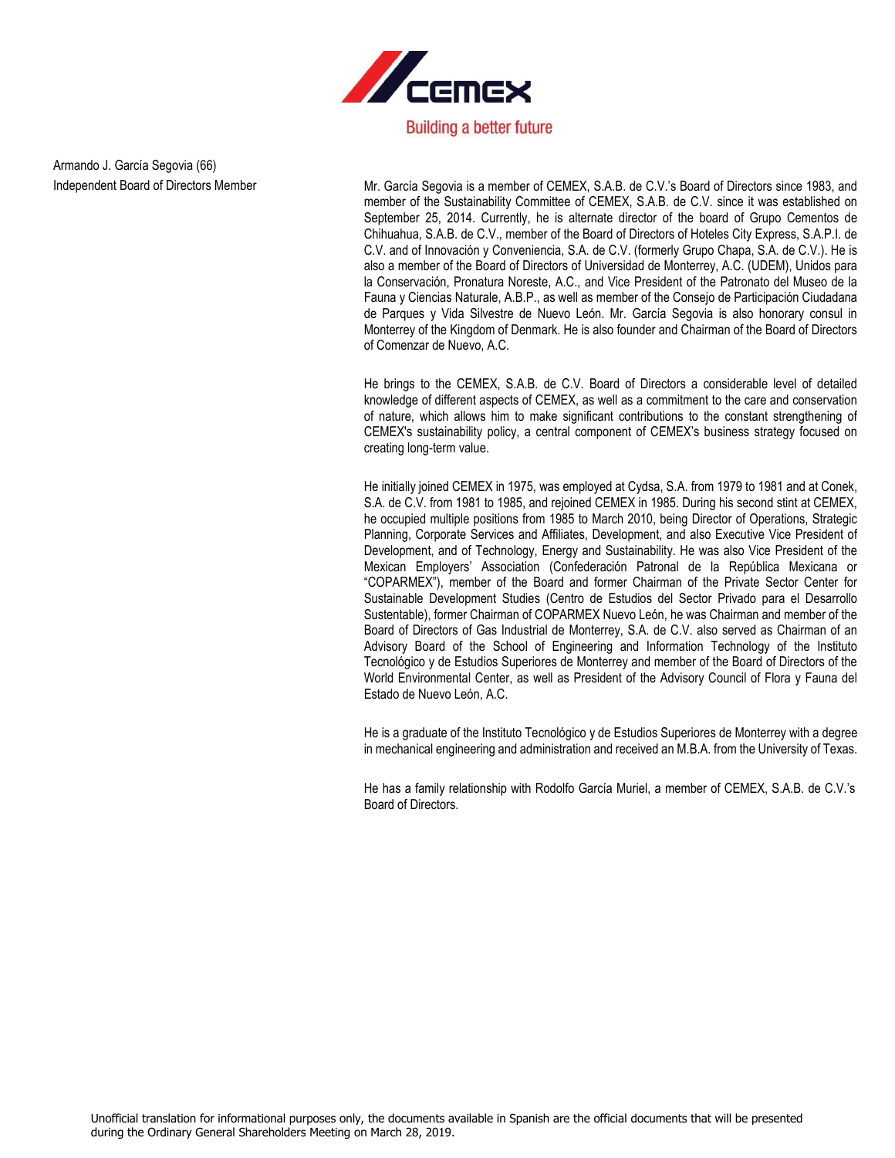

Armando J. García Segovia (66)

Independent Board of Directors Member Mr. García Segovia is a member of CEMEX, S.A.B. de C.V.'s Board of Directors since 1983, and member of the Sustainability Committee of CEMEX, S.A.B. de C.V. since it was established on September 25, 2014. Currently, he is alternate director of the board of Grupo Cementos de Chihuahua, S.A.B. de C.V., member of the Board of Directors of Hoteles City Express, S.A.P.I. de C.V. and of Innovación y Conveniencia, S.A. de C.V. (formerly Grupo Chapa, S.A. de C.V.). He is also a member of the Board of Directors of Universidad de Monterrey, A.C. (UDEM), Unidos para la Conservación, Pronatura Noreste, A.C., and Vice President of the Patronato del Museo de la Fauna y Ciencias Naturale, A.B.P., as well as member of the Consejo de Participación Ciudadana de Parques y Vida Silvestre de Nuevo León. Mr. García Segovia is also honorary consul in Monterrey of the Kingdom of Denmark. He is also founder and Chairman of the Board of Directors of Comenzar de Nuevo, A.C.

> He brings to the CEMEX, S.A.B. de C.V. Board of Directors a considerable level of detailed knowledge of different aspects of CEMEX, as well as a commitment to the care and conservation of nature, which allows him to make significant contributions to the constant strengthening of CEMEX's sustainability policy, a central component of CEMEX's business strategy focused on creating long-term value.

> He initially joined CEMEX in 1975, was employed at Cydsa, S.A. from 1979 to 1981 and at Conek, S.A. de C.V. from 1981 to 1985, and rejoined CEMEX in 1985. During his second stint at CEMEX, he occupied multiple positions from 1985 to March 2010, being Director of Operations, Strategic Planning, Corporate Services and Affiliates, Development, and also Executive Vice President of Development, and of Technology, Energy and Sustainability. He was also Vice President of the Mexican Employers' Association (Confederación Patronal de la República Mexicana or "COPARMEX"), member of the Board and former Chairman of the Private Sector Center for Sustainable Development Studies (Centro de Estudios del Sector Privado para el Desarrollo Sustentable), former Chairman of COPARMEX Nuevo León, he was Chairman and member of the Board of Directors of Gas Industrial de Monterrey, S.A. de C.V. also served as Chairman of an Advisory Board of the School of Engineering and Information Technology of the Instituto Tecnológico y de Estudios Superiores de Monterrey and member of the Board of Directors of the World Environmental Center, as well as President of the Advisory Council of Flora y Fauna del Estado de Nuevo León, A.C.

> He is a graduate of the Instituto Tecnológico y de Estudios Superiores de Monterrey with a degree in mechanical engineering and administration and received an M.B.A. from the University of Texas.

> He has a family relationship with Rodolfo García Muriel, a member of CEMEX, S.A.B. de C.V.'s Board of Directors.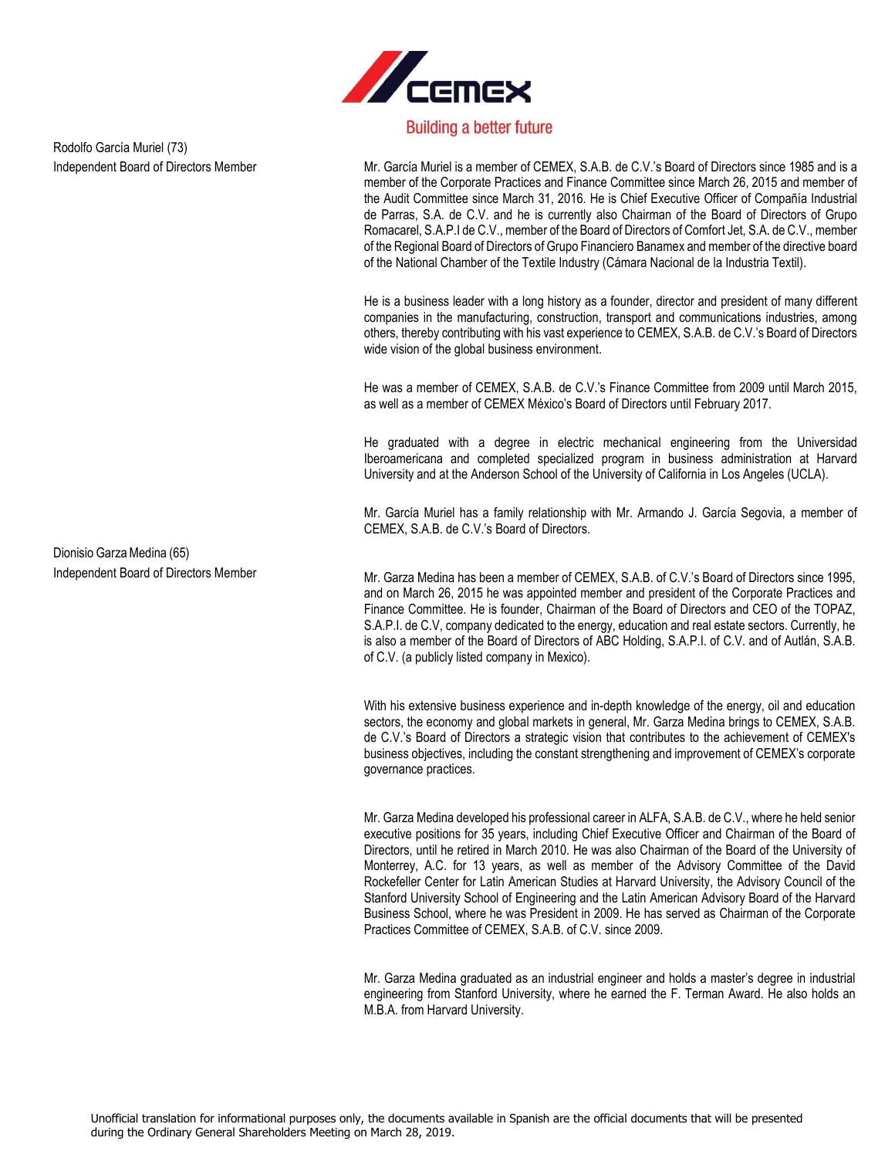

Independent Board of Directors Member Mr. García Muriel is a member of CEMEX, S.A.B. de C.V.'s Board of Directors since 1985 and is a member of the Corporate Practices and Finance Committee since March 26, 2015 and member of the Audit Committee since March 31, 2016. He is Chief Executive Officer of Compañía Industrial de Parras, S.A. de C.V. and he is currently also Chairman of the Board of Directors of Grupo Romacarel, S.A.P.I de C.V., member of the Board of Directors of Comfort Jet, S.A. de C.V., member of the Regional Board of Directors of Grupo Financiero Banamex and member of the directive board of the National Chamber of the Textile Industry (Cámara Nacional de la Industria Textil).

> He is a business leader with a long history as a founder, director and president of many different companies in the manufacturing, construction, transport and communications industries, among others, thereby contributing with his vast experience to CEMEX, S.A.B. de C.V.'s Board of Directors wide vision of the global business environment.

> He was a member of CEMEX, S.A.B. de C.V.'s Finance Committee from 2009 until March 2015, as well as a member of CEMEX México's Board of Directors until February 2017.

> He graduated with a degree in electric mechanical engineering from the Universidad Iberoamericana and completed specialized program in business administration at Harvard University and at the Anderson School of the University of California in Los Angeles (UCLA).

> Mr. García Muriel has a family relationship with Mr. Armando J. García Segovia, a member of CEMEX, S.A.B. de C.V.'s Board of Directors.

Independent Board of Directors Member Member Mr. Garza Medina has been a member of CEMEX, S.A.B. of C.V.'s Board of Directors since 1995, and on March 26, 2015 he was appointed member and president of the Corporate Practices and Finance Committee. He is founder, Chairman of the Board of Directors and CEO of the TOPAZ, S.A.P.I. de C.V, company dedicated to the energy, education and real estate sectors. Currently, he is also a member of the Board of Directors of ABC Holding, S.A.P.I. of C.V. and of Autlán, S.A.B. of C.V. (a publicly listed company in Mexico).

> With his extensive business experience and in-depth knowledge of the energy, oil and education sectors, the economy and global markets in general, Mr. Garza Medina brings to CEMEX, S.A.B. de C.V.'s Board of Directors a strategic vision that contributes to the achievement of CEMEX's business objectives, including the constant strengthening and improvement of CEMEX's corporate governance practices.

> Mr. Garza Medina developed his professional career in ALFA, S.A.B. de C.V., where he held senior executive positions for 35 years, including Chief Executive Officer and Chairman of the Board of Directors, until he retired in March 2010. He was also Chairman of the Board of the University of Monterrey, A.C. for 13 years, as well as member of the Advisory Committee of the David Rockefeller Center for Latin American Studies at Harvard University, the Advisory Council of the Stanford University School of Engineering and the Latin American Advisory Board of the Harvard Business School, where he was President in 2009. He has served as Chairman of the Corporate Practices Committee of CEMEX, S.A.B. of C.V. since 2009.

> Mr. Garza Medina graduated as an industrial engineer and holds a master's degree in industrial engineering from Stanford University, where he earned the F. Terman Award. He also holds an M.B.A. from Harvard University.

Rodolfo García Muriel (73)

Dionisio Garza Medina (65)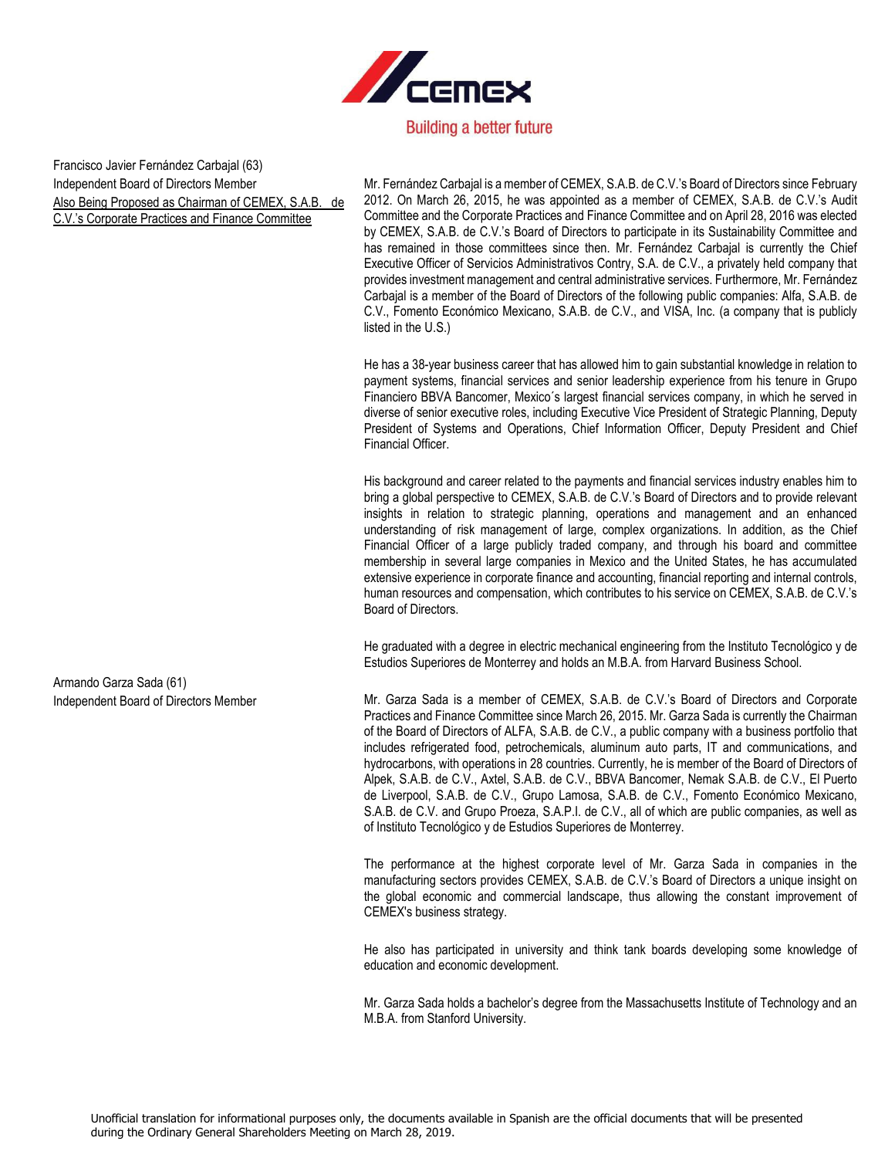

Francisco Javier Fernández Carbajal (63) Independent Board of Directors Member Also Being Proposed as Chairman of CEMEX, S.A.B. de C.V.'s Corporate Practices and Finance Committee

Mr. Fernández Carbajal is a member of CEMEX, S.A.B. de C.V.'s Board of Directors since February 2012. On March 26, 2015, he was appointed as a member of CEMEX, S.A.B. de C.V.'s Audit Committee and the Corporate Practices and Finance Committee and on April 28, 2016 was elected by CEMEX, S.A.B. de C.V.'s Board of Directors to participate in its Sustainability Committee and has remained in those committees since then. Mr. Fernández Carbajal is currently the Chief Executive Officer of Servicios Administrativos Contry, S.A. de C.V., a privately held company that provides investment management and central administrative services. Furthermore, Mr. Fernández Carbajal is a member of the Board of Directors of the following public companies: Alfa, S.A.B. de C.V., Fomento Económico Mexicano, S.A.B. de C.V., and VISA, Inc. (a company that is publicly listed in the U.S.)

He has a 38-year business career that has allowed him to gain substantial knowledge in relation to payment systems, financial services and senior leadership experience from his tenure in Grupo Financiero BBVA Bancomer, Mexico´s largest financial services company, in which he served in diverse of senior executive roles, including Executive Vice President of Strategic Planning, Deputy President of Systems and Operations, Chief Information Officer, Deputy President and Chief Financial Officer.

His background and career related to the payments and financial services industry enables him to bring a global perspective to CEMEX, S.A.B. de C.V.'s Board of Directors and to provide relevant insights in relation to strategic planning, operations and management and an enhanced understanding of risk management of large, complex organizations. In addition, as the Chief Financial Officer of a large publicly traded company, and through his board and committee membership in several large companies in Mexico and the United States, he has accumulated extensive experience in corporate finance and accounting, financial reporting and internal controls, human resources and compensation, which contributes to his service on CEMEX, S.A.B. de C.V.'s Board of Directors.

He graduated with a degree in electric mechanical engineering from the Instituto Tecnológico y de Estudios Superiores de Monterrey and holds an M.B.A. from Harvard Business School.

Independent Board of Directors Member Mr. Garza Sada is a member of CEMEX, S.A.B. de C.V.'s Board of Directors and Corporate Practices and Finance Committee since March 26, 2015. Mr. Garza Sada is currently the Chairman of the Board of Directors of ALFA, S.A.B. de C.V., a public company with a business portfolio that includes refrigerated food, petrochemicals, aluminum auto parts, IT and communications, and hydrocarbons, with operations in 28 countries. Currently, he is member of the Board of Directors of Alpek, S.A.B. de C.V., Axtel, S.A.B. de C.V., BBVA Bancomer, Nemak S.A.B. de C.V., El Puerto de Liverpool, S.A.B. de C.V., Grupo Lamosa, S.A.B. de C.V., Fomento Económico Mexicano, S.A.B. de C.V. and Grupo Proeza, S.A.P.I. de C.V., all of which are public companies, as well as of Instituto Tecnológico y de Estudios Superiores de Monterrey.

> The performance at the highest corporate level of Mr. Garza Sada in companies in the manufacturing sectors provides CEMEX, S.A.B. de C.V.'s Board of Directors a unique insight on the global economic and commercial landscape, thus allowing the constant improvement of CEMEX's business strategy.

> He also has participated in university and think tank boards developing some knowledge of education and economic development.

> Mr. Garza Sada holds a bachelor's degree from the Massachusetts Institute of Technology and an M.B.A. from Stanford University.

Armando Garza Sada (61)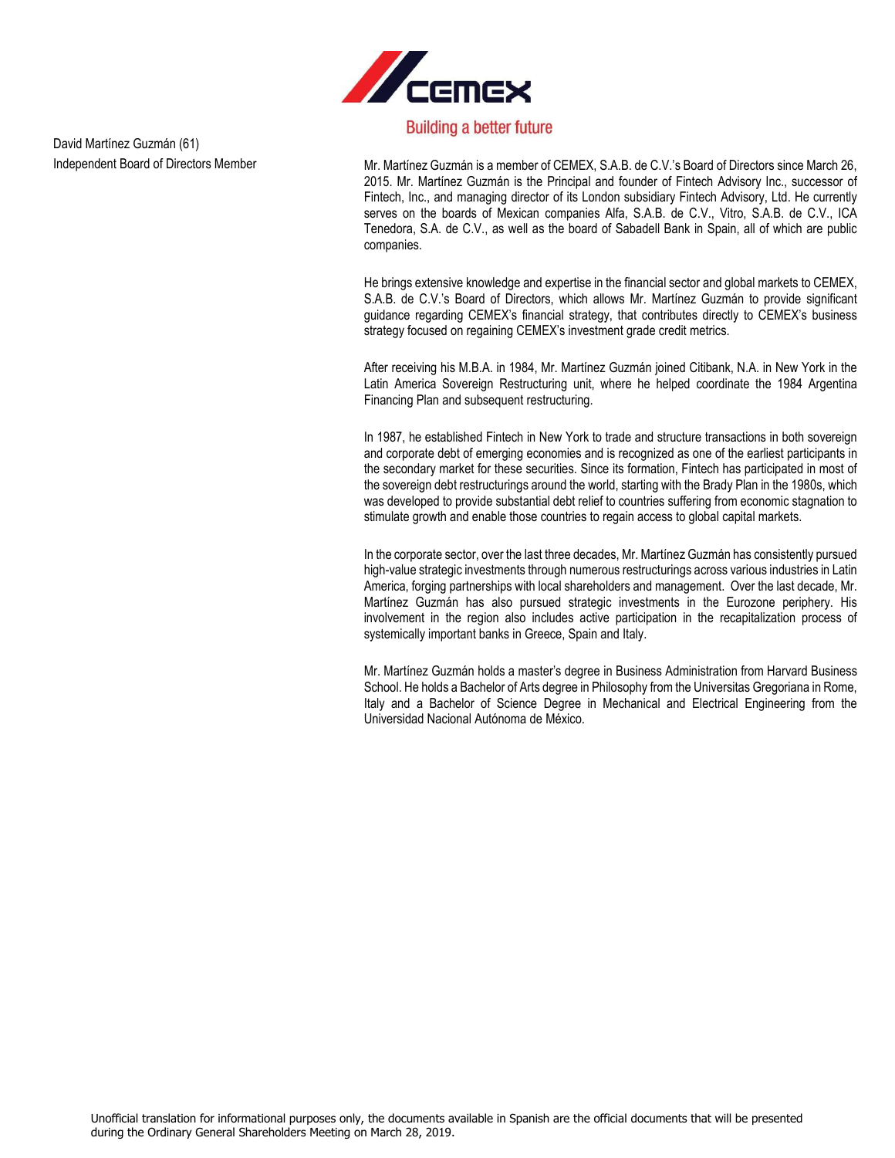

David Martínez Guzmán (61)

Independent Board of Directors Member Mr. Martínez Guzmán is a member of CEMEX, S.A.B. de C.V.'s Board of Directors since March 26, 2015. Mr. Martínez Guzmán is the Principal and founder of Fintech Advisory Inc., successor of Fintech, Inc., and managing director of its London subsidiary Fintech Advisory, Ltd. He currently serves on the boards of Mexican companies Alfa, S.A.B. de C.V., Vitro, S.A.B. de C.V., ICA Tenedora, S.A. de C.V., as well as the board of Sabadell Bank in Spain, all of which are public companies.

> He brings extensive knowledge and expertise in the financial sector and global markets to CEMEX, S.A.B. de C.V.'s Board of Directors, which allows Mr. Martínez Guzmán to provide significant guidance regarding CEMEX's financial strategy, that contributes directly to CEMEX's business strategy focused on regaining CEMEX's investment grade credit metrics.

> After receiving his M.B.A. in 1984, Mr. Martínez Guzmán joined Citibank, N.A. in New York in the Latin America Sovereign Restructuring unit, where he helped coordinate the 1984 Argentina Financing Plan and subsequent restructuring.

> In 1987, he established Fintech in New York to trade and structure transactions in both sovereign and corporate debt of emerging economies and is recognized as one of the earliest participants in the secondary market for these securities. Since its formation, Fintech has participated in most of the sovereign debt restructurings around the world, starting with the Brady Plan in the 1980s, which was developed to provide substantial debt relief to countries suffering from economic stagnation to stimulate growth and enable those countries to regain access to global capital markets.

> In the corporate sector, over the last three decades, Mr. Martínez Guzmán has consistently pursued high-value strategic investments through numerous restructurings across various industries in Latin America, forging partnerships with local shareholders and management. Over the last decade, Mr. Martínez Guzmán has also pursued strategic investments in the Eurozone periphery. His involvement in the region also includes active participation in the recapitalization process of systemically important banks in Greece, Spain and Italy.

> Mr. Martínez Guzmán holds a master's degree in Business Administration from Harvard Business School. He holds a Bachelor of Arts degree in Philosophy from the Universitas Gregoriana in Rome, Italy and a Bachelor of Science Degree in Mechanical and Electrical Engineering from the Universidad Nacional Autónoma de México.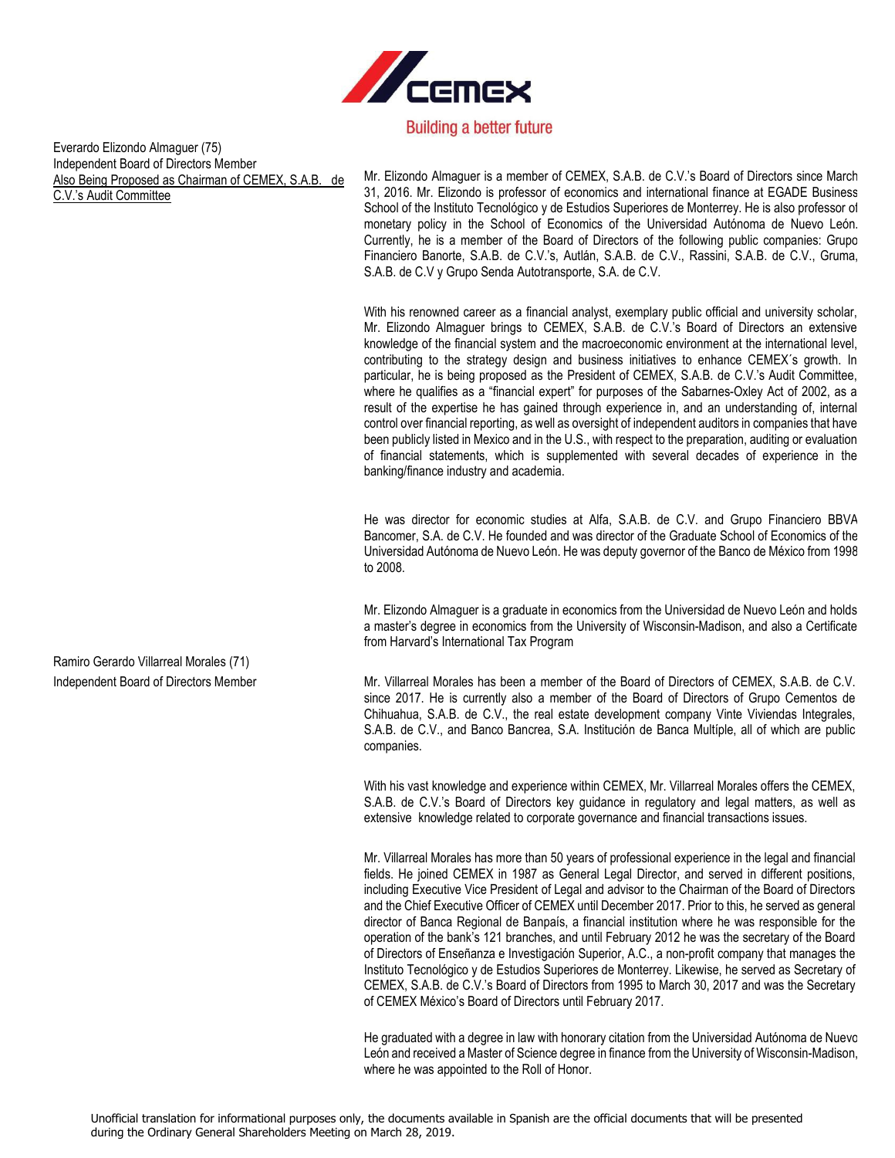

Everardo Elizondo Almaguer (75) Independent Board of Directors Member Also Being Proposed as Chairman of CEMEX, S.A.B. de C.V.'s Audit Committee

Mr. Elizondo Almaguer is a member of CEMEX, S.A.B. de C.V.'s Board of Directors since March 31, 2016. Mr. Elizondo is professor of economics and international finance at EGADE Business School of the Instituto Tecnológico y de Estudios Superiores de Monterrey. He is also professor of monetary policy in the School of Economics of the Universidad Autónoma de Nuevo León. Currently, he is a member of the Board of Directors of the following public companies: Grupo Financiero Banorte, S.A.B. de C.V.'s, Autlán, S.A.B. de C.V., Rassini, S.A.B. de C.V., Gruma, S.A.B. de C.V y Grupo Senda Autotransporte, S.A. de C.V.

With his renowned career as a financial analyst, exemplary public official and university scholar, Mr. Elizondo Almaguer brings to CEMEX, S.A.B. de C.V.'s Board of Directors an extensive knowledge of the financial system and the macroeconomic environment at the international level, contributing to the strategy design and business initiatives to enhance CEMEX´s growth. In particular, he is being proposed as the President of CEMEX, S.A.B. de C.V.'s Audit Committee, where he qualifies as a "financial expert" for purposes of the Sabarnes-Oxley Act of 2002, as a result of the expertise he has gained through experience in, and an understanding of, internal control over financial reporting, as well as oversight of independent auditors in companies that have been publicly listed in Mexico and in the U.S., with respect to the preparation, auditing or evaluation of financial statements, which is supplemented with several decades of experience in the banking/finance industry and academia.

He was director for economic studies at Alfa, S.A.B. de C.V. and Grupo Financiero BBVA Bancomer, S.A. de C.V. He founded and was director of the Graduate School of Economics of the Universidad Autónoma de Nuevo León. He was deputy governor of the Banco de México from 1998 to 2008.

Mr. Elizondo Almaguer is a graduate in economics from the Universidad de Nuevo León and holds a master's degree in economics from the University of Wisconsin-Madison, and also a Certificate from Harvard's International Tax Program

Independent Board of Directors Member Mr. Villarreal Morales has been a member of the Board of Directors of CEMEX, S.A.B. de C.V. since 2017. He is currently also a member of the Board of Directors of Grupo Cementos de Chihuahua, S.A.B. de C.V., the real estate development company Vinte Viviendas Integrales, S.A.B. de C.V., and Banco Bancrea, S.A. Institución de Banca Multíple, all of which are public companies.

> With his vast knowledge and experience within CEMEX, Mr. Villarreal Morales offers the CEMEX, S.A.B. de C.V.'s Board of Directors key guidance in regulatory and legal matters, as well as extensive knowledge related to corporate governance and financial transactions issues.

> Mr. Villarreal Morales has more than 50 years of professional experience in the legal and financial fields. He joined CEMEX in 1987 as General Legal Director, and served in different positions, including Executive Vice President of Legal and advisor to the Chairman of the Board of Directors and the Chief Executive Officer of CEMEX until December 2017. Prior to this, he served as general director of Banca Regional de Banpaís, a financial institution where he was responsible for the operation of the bank's 121 branches, and until February 2012 he was the secretary of the Board of Directors of Enseñanza e Investigación Superior, A.C., a non-profit company that manages the Instituto Tecnológico y de Estudios Superiores de Monterrey. Likewise, he served as Secretary of CEMEX, S.A.B. de C.V.'s Board of Directors from 1995 to March 30, 2017 and was the Secretary of CEMEX México's Board of Directors until February 2017.

> He graduated with a degree in law with honorary citation from the Universidad Autónoma de Nuevo León and received a Master of Science degree in finance from the University of Wisconsin-Madison, where he was appointed to the Roll of Honor.

Ramiro Gerardo Villarreal Morales (71)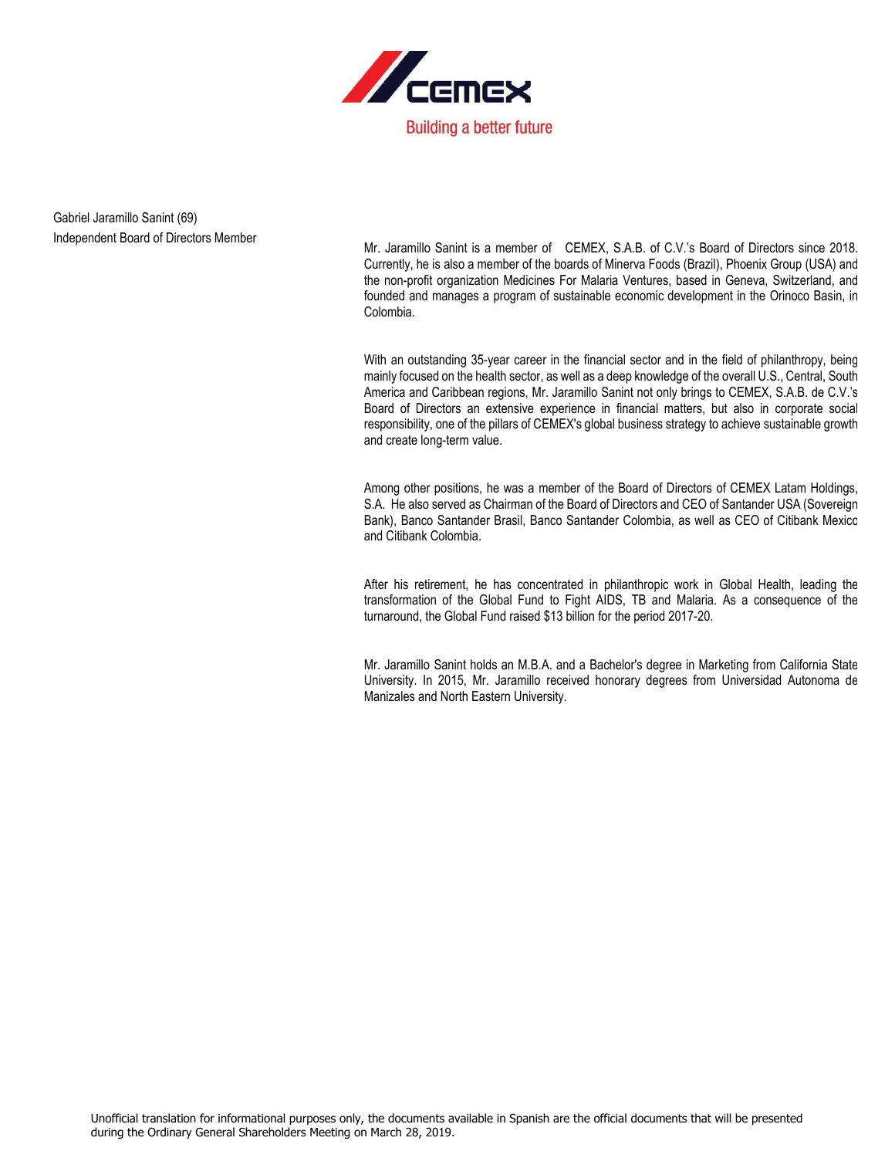

Gabriel Jaramillo Sanint (69) Independent Board of Directors Member

Mr. Jaramillo Sanint is a member of CEMEX, S.A.B. of C.V.'s Board of Directors since 2018. Currently, he is also a member of the boards of Minerva Foods (Brazil), Phoenix Group (USA) and the non-profit organization Medicines For Malaria Ventures, based in Geneva, Switzerland, and founded and manages a program of sustainable economic development in the Orinoco Basin, in Colombia.

With an outstanding 35-year career in the financial sector and in the field of philanthropy, being mainly focused on the health sector, as well as a deep knowledge of the overall U.S., Central, South America and Caribbean regions, Mr. Jaramillo Sanint not only brings to CEMEX, S.A.B. de C.V.'s Board of Directors an extensive experience in financial matters, but also in corporate social responsibility, one of the pillars of CEMEX's global business strategy to achieve sustainable growth and create long-term value.

Among other positions, he was a member of the Board of Directors of CEMEX Latam Holdings, S.A. He also served as Chairman of the Board of Directors and CEO of Santander USA (Sovereign Bank), Banco Santander Brasil, Banco Santander Colombia, as well as CEO of Citibank Mexico and Citibank Colombia.

After his retirement, he has concentrated in philanthropic work in Global Health, leading the transformation of the Global Fund to Fight AIDS, TB and Malaria. As a consequence of the turnaround, the Global Fund raised \$13 billion for the period 2017-20.

Mr. Jaramillo Sanint holds an M.B.A. and a Bachelor's degree in Marketing from California State University. In 2015, Mr. Jaramillo received honorary degrees from Universidad Autonoma de Manizales and North Eastern University.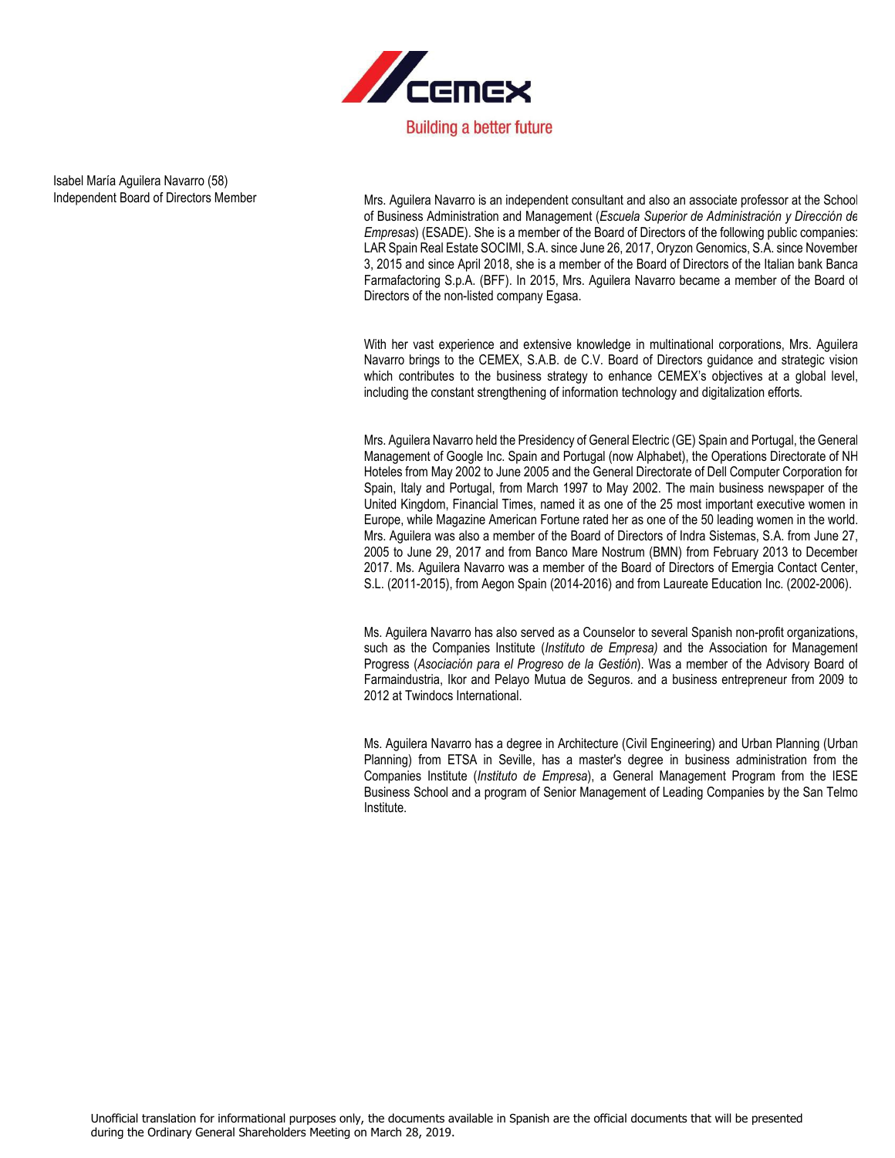

Isabel María Aguilera Navarro (58)

Independent Board of Directors Member Mrs. Aguilera Navarro is an independent consultant and also an associate professor at the School of Business Administration and Management (*Escuela Superior de Administración y Dirección de Empresas*) (ESADE). She is a member of the Board of Directors of the following public companies: LAR Spain Real Estate SOCIMI, S.A. since June 26, 2017, Oryzon Genomics, S.A. since November 3, 2015 and since April 2018, she is a member of the Board of Directors of the Italian bank Banca Farmafactoring S.p.A. (BFF). In 2015, Mrs. Aguilera Navarro became a member of the Board of Directors of the non-listed company Egasa.

> With her vast experience and extensive knowledge in multinational corporations, Mrs. Aguilera Navarro brings to the CEMEX, S.A.B. de C.V. Board of Directors guidance and strategic vision which contributes to the business strategy to enhance CEMEX's objectives at a global level, including the constant strengthening of information technology and digitalization efforts.

> Mrs. Aguilera Navarro held the Presidency of General Electric (GE) Spain and Portugal, the General Management of Google Inc. Spain and Portugal (now Alphabet), the Operations Directorate of NH Hoteles from May 2002 to June 2005 and the General Directorate of Dell Computer Corporation for Spain, Italy and Portugal, from March 1997 to May 2002. The main business newspaper of the United Kingdom, Financial Times, named it as one of the 25 most important executive women in Europe, while Magazine American Fortune rated her as one of the 50 leading women in the world. Mrs. Aguilera was also a member of the Board of Directors of Indra Sistemas, S.A. from June 27, 2005 to June 29, 2017 and from Banco Mare Nostrum (BMN) from February 2013 to December 2017. Ms. Aguilera Navarro was a member of the Board of Directors of Emergia Contact Center, S.L. (2011-2015), from Aegon Spain (2014-2016) and from Laureate Education Inc. (2002-2006).

> Ms. Aguilera Navarro has also served as a Counselor to several Spanish non-profit organizations, such as the Companies Institute (*Instituto de Empresa)* and the Association for Management Progress (*Asociación para el Progreso de la Gestión*). Was a member of the Advisory Board of Farmaindustria, Ikor and Pelayo Mutua de Seguros. and a business entrepreneur from 2009 to 2012 at Twindocs International.

> Ms. Aguilera Navarro has a degree in Architecture (Civil Engineering) and Urban Planning (Urban Planning) from ETSA in Seville, has a master's degree in business administration from the Companies Institute (*Instituto de Empresa*), a General Management Program from the IESE Business School and a program of Senior Management of Leading Companies by the San Telmo Institute.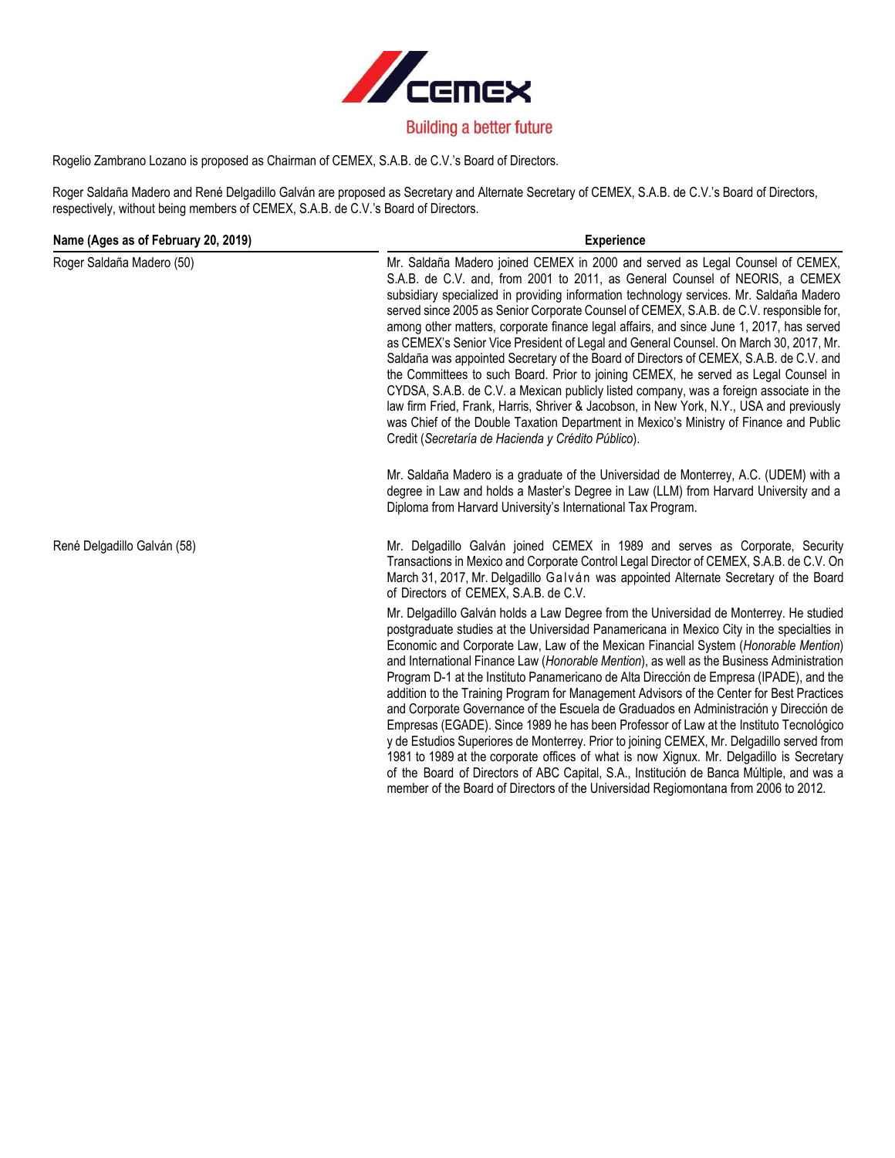

# Rogelio Zambrano Lozano is proposed as Chairman of CEMEX, S.A.B. de C.V.'s Board of Directors.

Roger Saldaña Madero and René Delgadillo Galván are proposed as Secretary and Alternate Secretary of CEMEX, S.A.B. de C.V.'s Board of Directors, respectively, without being members of CEMEX, S.A.B. de C.V.'s Board of Directors.

| Name (Ages as of February 20, 2019) | <b>Experience</b>                                                                                                                                                                                                                                                                                                                                                                                                                                                                                                                                                                                                                                                                                                                                                                                                                                                                                                                                                                                                                                                                                                                                                                                                                                                                                                |
|-------------------------------------|------------------------------------------------------------------------------------------------------------------------------------------------------------------------------------------------------------------------------------------------------------------------------------------------------------------------------------------------------------------------------------------------------------------------------------------------------------------------------------------------------------------------------------------------------------------------------------------------------------------------------------------------------------------------------------------------------------------------------------------------------------------------------------------------------------------------------------------------------------------------------------------------------------------------------------------------------------------------------------------------------------------------------------------------------------------------------------------------------------------------------------------------------------------------------------------------------------------------------------------------------------------------------------------------------------------|
| Roger Saldaña Madero (50)           | Mr. Saldaña Madero joined CEMEX in 2000 and served as Legal Counsel of CEMEX,<br>S.A.B. de C.V. and, from 2001 to 2011, as General Counsel of NEORIS, a CEMEX<br>subsidiary specialized in providing information technology services. Mr. Saldaña Madero<br>served since 2005 as Senior Corporate Counsel of CEMEX, S.A.B. de C.V. responsible for,<br>among other matters, corporate finance legal affairs, and since June 1, 2017, has served<br>as CEMEX's Senior Vice President of Legal and General Counsel. On March 30, 2017, Mr.<br>Saldaña was appointed Secretary of the Board of Directors of CEMEX, S.A.B. de C.V. and<br>the Committees to such Board. Prior to joining CEMEX, he served as Legal Counsel in<br>CYDSA, S.A.B. de C.V. a Mexican publicly listed company, was a foreign associate in the<br>law firm Fried, Frank, Harris, Shriver & Jacobson, in New York, N.Y., USA and previously<br>was Chief of the Double Taxation Department in Mexico's Ministry of Finance and Public<br>Credit (Secretaría de Hacienda y Crédito Público).<br>Mr. Saldaña Madero is a graduate of the Universidad de Monterrey, A.C. (UDEM) with a<br>degree in Law and holds a Master's Degree in Law (LLM) from Harvard University and a<br>Diploma from Harvard University's International Tax Program. |
|                                     |                                                                                                                                                                                                                                                                                                                                                                                                                                                                                                                                                                                                                                                                                                                                                                                                                                                                                                                                                                                                                                                                                                                                                                                                                                                                                                                  |
| René Delgadillo Galván (58)         | Mr. Delgadillo Galván joined CEMEX in 1989 and serves as Corporate, Security<br>Transactions in Mexico and Corporate Control Legal Director of CEMEX, S.A.B. de C.V. On<br>March 31, 2017, Mr. Delgadillo Galván was appointed Alternate Secretary of the Board<br>of Directors of CEMEX, S.A.B. de C.V.                                                                                                                                                                                                                                                                                                                                                                                                                                                                                                                                                                                                                                                                                                                                                                                                                                                                                                                                                                                                         |
|                                     | Mr. Delgadillo Galván holds a Law Degree from the Universidad de Monterrey. He studied<br>postgraduate studies at the Universidad Panamericana in Mexico City in the specialties in<br>Economic and Corporate Law, Law of the Mexican Financial System (Honorable Mention)<br>and International Finance Law (Honorable Mention), as well as the Business Administration<br>Program D-1 at the Instituto Panamericano de Alta Dirección de Empresa (IPADE), and the<br>addition to the Training Program for Management Advisors of the Center for Best Practices<br>and Corporate Governance of the Escuela de Graduados en Administración y Dirección de<br>Empresas (EGADE). Since 1989 he has been Professor of Law at the Instituto Tecnológico<br>y de Estudios Superiores de Monterrey. Prior to joining CEMEX, Mr. Delgadillo served from<br>1981 to 1989 at the corporate offices of what is now Xignux. Mr. Delgadillo is Secretary<br>of the Board of Directors of ABC Capital, S.A., Institución de Banca Múltiple, and was a<br>member of the Board of Directors of the Universidad Regiomontana from 2006 to 2012.                                                                                                                                                                                   |